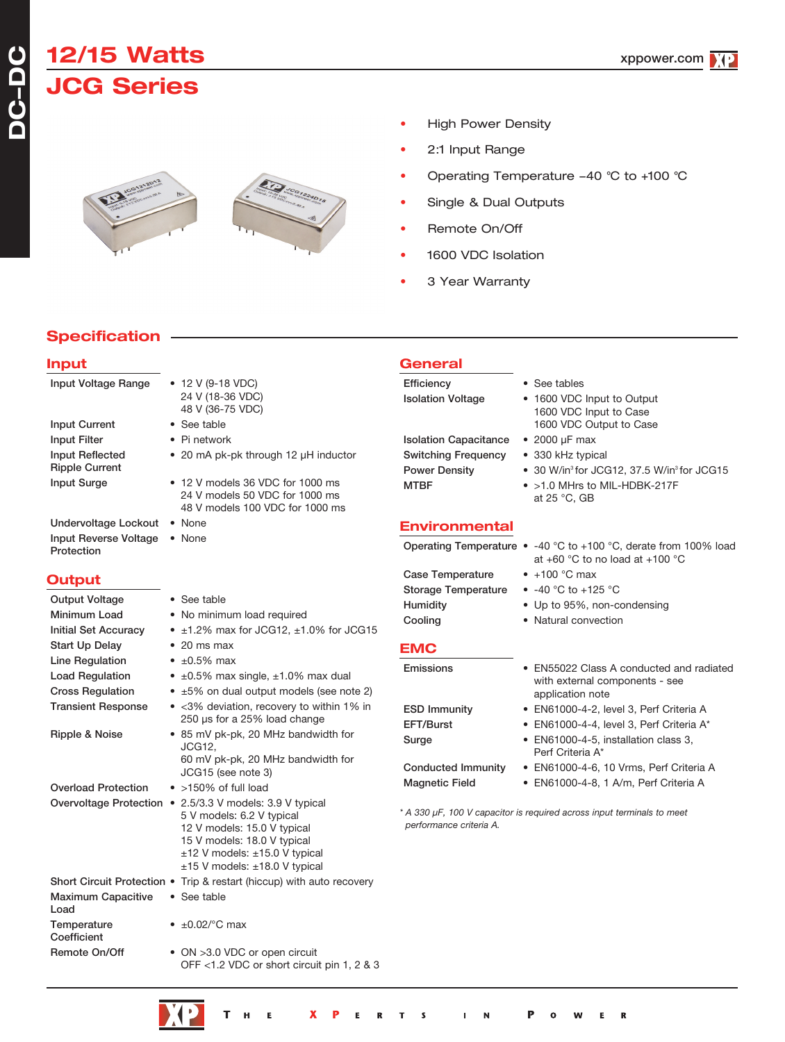# **12/15 Watts JCG Series**





- High Power Density
- 2:1 Input Range
- Operating Temperature -40 °C to +100 °C
- Single & Dual Outputs
- Remote On/Off
- 1600 VDC Isolation
- 3 Year Warranty

**General**

# **Specification**

# **Input**

| Input Voltage Range                                  | $\bullet$ 12 V (9-18 VDC)<br>24 V (18-36 VDC)<br>48 V (36-75 VDC)                                                                                                 | Efficiency<br><b>Isolation Voltage</b>                                                            | • See tables<br>• 1600 VDC Input to Output<br>1600 VDC Input to Case                                                            |  |  |
|------------------------------------------------------|-------------------------------------------------------------------------------------------------------------------------------------------------------------------|---------------------------------------------------------------------------------------------------|---------------------------------------------------------------------------------------------------------------------------------|--|--|
| <b>Input Current</b>                                 | • See table                                                                                                                                                       |                                                                                                   | 1600 VDC Output to Case                                                                                                         |  |  |
| <b>Input Filter</b>                                  | • Pi network                                                                                                                                                      | <b>Isolation Capacitance</b>                                                                      | $\bullet$ 2000 µF max                                                                                                           |  |  |
| <b>Input Reflected</b>                               | • 20 mA pk-pk through 12 µH inductor                                                                                                                              | <b>Switching Frequency</b>                                                                        | • 330 kHz typical                                                                                                               |  |  |
| <b>Ripple Current</b>                                |                                                                                                                                                                   | Power Density                                                                                     | • 30 W/in <sup>3</sup> for JCG12, 37.5 W/in <sup>3</sup> for JCG15                                                              |  |  |
| <b>Input Surge</b>                                   | • 12 V models 36 VDC for 1000 ms<br>24 V models 50 VDC for 1000 ms<br>48 V models 100 VDC for 1000 ms                                                             | <b>MTBF</b>                                                                                       | • >1.0 MHrs to MIL-HDBK-217F<br>at 25 °C, GB                                                                                    |  |  |
| Undervoltage Lockout . None                          |                                                                                                                                                                   | <b>Environmental</b>                                                                              |                                                                                                                                 |  |  |
| Input Reverse Voltage<br>Protection                  | • None                                                                                                                                                            |                                                                                                   | Operating Temperature $\bullet$ -40 °C to +100 °C, derate from 100% load<br>at +60 $^{\circ}$ C to no load at +100 $^{\circ}$ C |  |  |
| <b>Output</b>                                        |                                                                                                                                                                   | <b>Case Temperature</b>                                                                           | $\bullet$ +100 °C max                                                                                                           |  |  |
|                                                      |                                                                                                                                                                   | <b>Storage Temperature</b>                                                                        | • $-40$ °C to $+125$ °C                                                                                                         |  |  |
| <b>Output Voltage</b>                                | • See table                                                                                                                                                       | Humidity                                                                                          | • Up to 95%, non-condensing                                                                                                     |  |  |
| Minimum Load                                         | • No minimum load required                                                                                                                                        | Cooling                                                                                           | • Natural convection                                                                                                            |  |  |
| <b>Initial Set Accuracy</b>                          | $\bullet$ ±1.2% max for JCG12, ±1.0% for JCG15                                                                                                                    |                                                                                                   |                                                                                                                                 |  |  |
| Start Up Delay                                       | $\bullet$ 20 ms max                                                                                                                                               | <b>EMC</b>                                                                                        |                                                                                                                                 |  |  |
| Line Regulation                                      | $\cdot$ ±0.5% max                                                                                                                                                 | Emissions                                                                                         | • EN55022 Class A conducted and radiated                                                                                        |  |  |
| <b>Load Regulation</b>                               | $\bullet$ ±0.5% max single, ±1.0% max dual                                                                                                                        |                                                                                                   | with external components - see                                                                                                  |  |  |
| <b>Cross Regulation</b><br><b>Transient Response</b> | • ±5% on dual output models (see note 2)<br>• < 3% deviation, recovery to within 1% in                                                                            |                                                                                                   | application note                                                                                                                |  |  |
|                                                      | 250 µs for a 25% load change                                                                                                                                      | <b>ESD Immunity</b>                                                                               | • EN61000-4-2, level 3, Perf Criteria A                                                                                         |  |  |
| Ripple & Noise                                       | • 85 mV pk-pk, 20 MHz bandwidth for                                                                                                                               | EFT/Burst                                                                                         | • EN61000-4-4, level 3, Perf Criteria A*                                                                                        |  |  |
|                                                      | JCG12.                                                                                                                                                            | Surge                                                                                             | • EN61000-4-5, installation class 3,<br>Perf Criteria A*                                                                        |  |  |
|                                                      | 60 mV pk-pk, 20 MHz bandwidth for<br>JCG15 (see note 3)                                                                                                           | <b>Conducted Immunity</b>                                                                         | • EN61000-4-6, 10 Vrms, Perf Criteria A                                                                                         |  |  |
| <b>Overload Protection</b>                           | $\bullet$ >150% of full load                                                                                                                                      | <b>Magnetic Field</b>                                                                             | • EN61000-4-8, 1 A/m, Perf Criteria A                                                                                           |  |  |
|                                                      | Overvoltage Protection • 2.5/3.3 V models: 3.9 V typical                                                                                                          |                                                                                                   |                                                                                                                                 |  |  |
|                                                      | 5 V models: 6.2 V typical<br>12 V models: 15.0 V typical<br>15 V models: 18.0 V typical<br>$±12$ V models: $±15.0$ V typical<br>$±15$ V models: $±18.0$ V typical | * A 330 µF, 100 V capacitor is required across input terminals to meet<br>performance criteria A. |                                                                                                                                 |  |  |
|                                                      | Short Circuit Protection • Trip & restart (hiccup) with auto recovery                                                                                             |                                                                                                   |                                                                                                                                 |  |  |
| <b>Maximum Capacitive</b><br>Load                    | • See table                                                                                                                                                       |                                                                                                   |                                                                                                                                 |  |  |

Remote On/Off • ON >3.0 VDC or open circuit OFF <1.2 VDC or short circuit pin 1, 2 & 3

Temperature  $\bullet$   $\pm 0.02$ /°C max

**Coefficient**